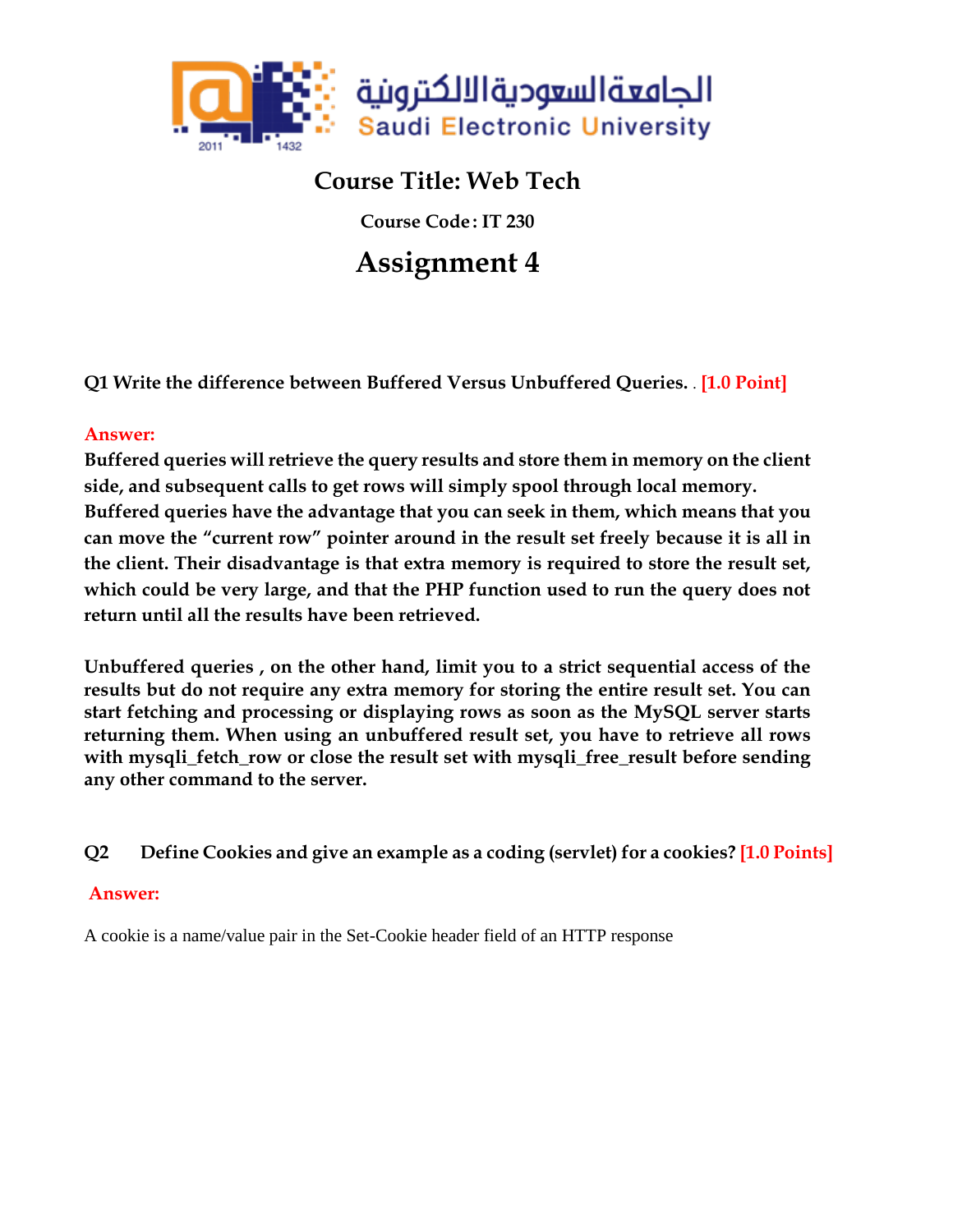

## **Course Title: Web Tech**

**Course Code : IT 230**

# **Assignment 4**

**Q1 Write the difference between Buffered Versus Unbuffered Queries.** . **[1.0 Point]**

### **Answer:**

**Buffered queries will retrieve the query results and store them in memory on the client side, and subsequent calls to get rows will simply spool through local memory. Buffered queries have the advantage that you can seek in them, which means that you can move the "current row" pointer around in the result set freely because it is all in the client. Their disadvantage is that extra memory is required to store the result set, which could be very large, and that the PHP function used to run the query does not return until all the results have been retrieved.**

**Unbuffered queries , on the other hand, limit you to a strict sequential access of the results but do not require any extra memory for storing the entire result set. You can start fetching and processing or displaying rows as soon as the MySQL server starts returning them. When using an unbuffered result set, you have to retrieve all rows with mysqli\_fetch\_row or close the result set with mysqli\_free\_result before sending any other command to the server.**

### **Q2 Define Cookies and give an example as a coding (servlet) for a cookies? [1.0 Points]**

### **Answer:**

A cookie is a name/value pair in the Set-Cookie header field of an HTTP response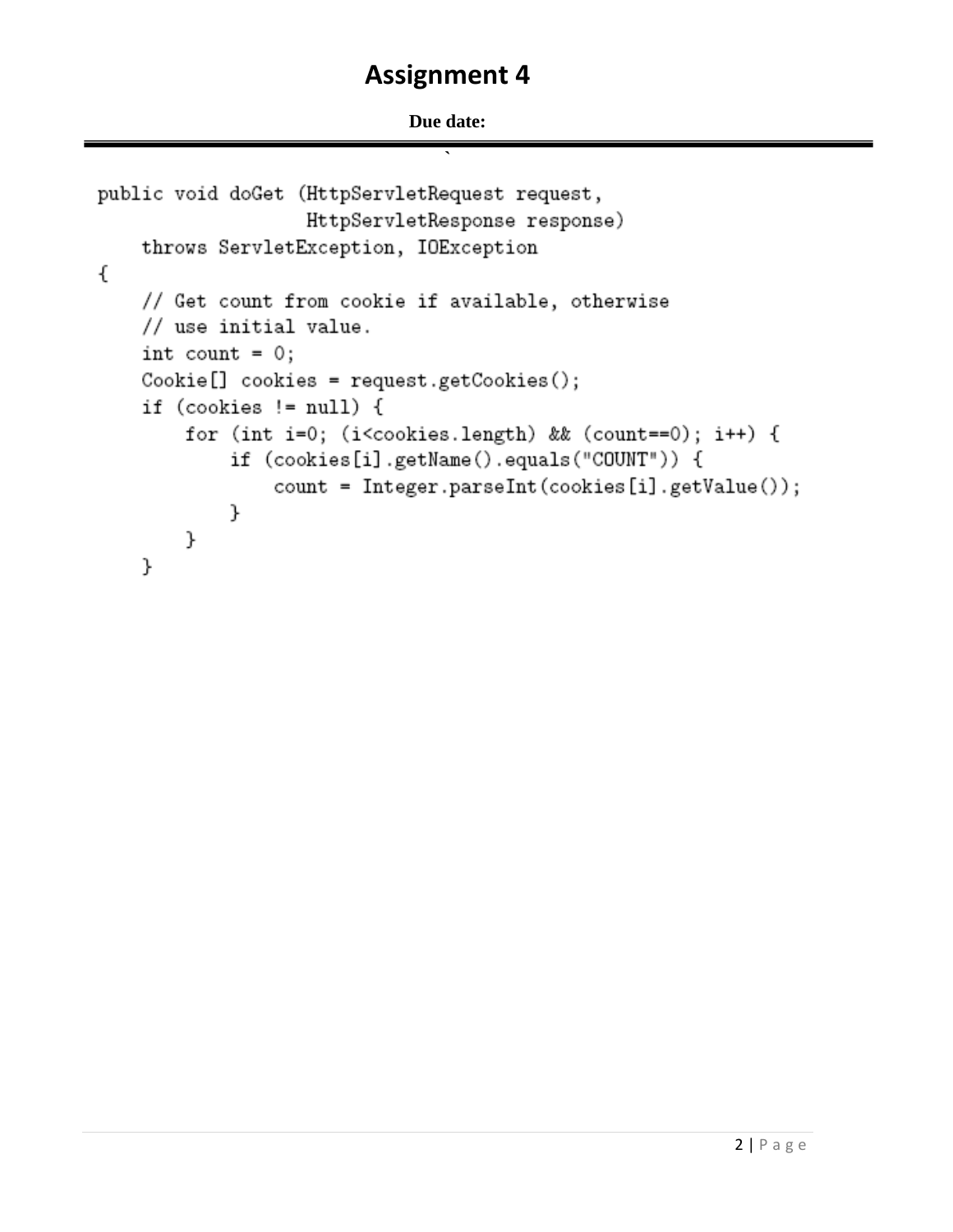#### Due date:

```
public void doGet (HttpServletRequest request,
                   HttpServletResponse response)
    throws ServletException, IOException
€
    // Get count from cookie if available, otherwise
    // use initial value.
    int count = 0;
    Cookie[] cookies = request.getCookies();
    if (cookies != null) {
        for (int i=0; (i<cookies.length) && (count==0); i++) {
            if (cookies[i].getName().equals("COUNT")) {
                count = Integer.parseInt(cookies[i].getValue());
            }
        }
    }
```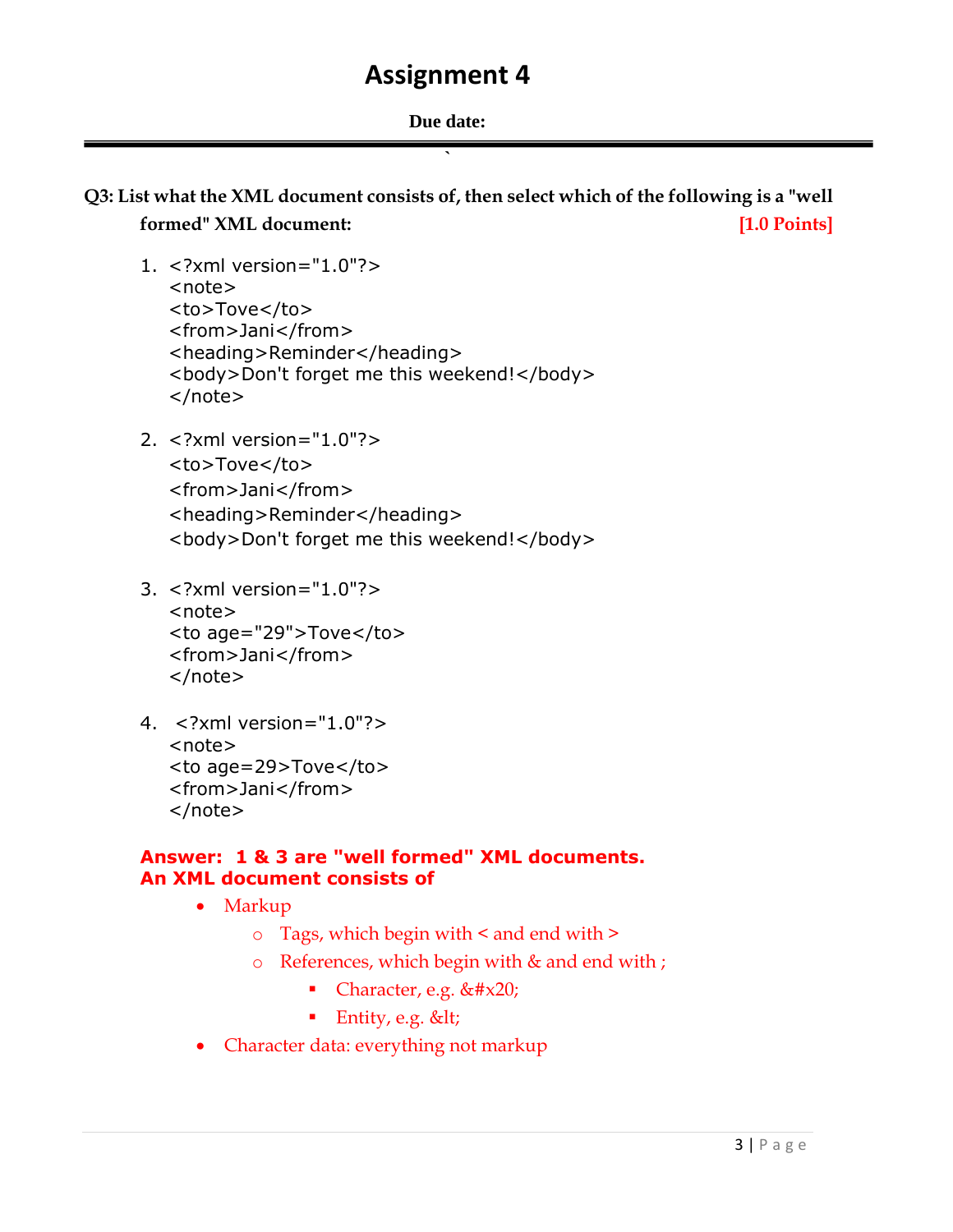**`**

## **Q3: List what the XML document consists of, then select which of the following is a "well formed"** XML document: *lateral* **[1.0 Points]**

- 1. <?xml version="1.0"?> <note> <to>Tove</to> <from>Jani</from> <heading>Reminder</heading> <body>Don't forget me this weekend!</body> </note>
- 2. <?xml version="1.0"?> <to>Tove</to> <from>Jani</from> <heading>Reminder</heading> <body>Don't forget me this weekend!</body>
- 3. <?xml version="1.0"?> <note> <to age="29">Tove</to> <from>Jani</from> </note>
- 4. <?xml version="1.0"?> <note> <to age=29>Tove</to> <from>Jani</from> </note>

### **Answer: 1 & 3 are "well formed" XML documents. An XML document consists of**

- Markup
	- o Tags, which begin with < and end with >
	- o References, which begin with & and end with ;
		- Character, e.g.  $&\#x20;$
		- **Entity, e.g. <**
- Character data: everything not markup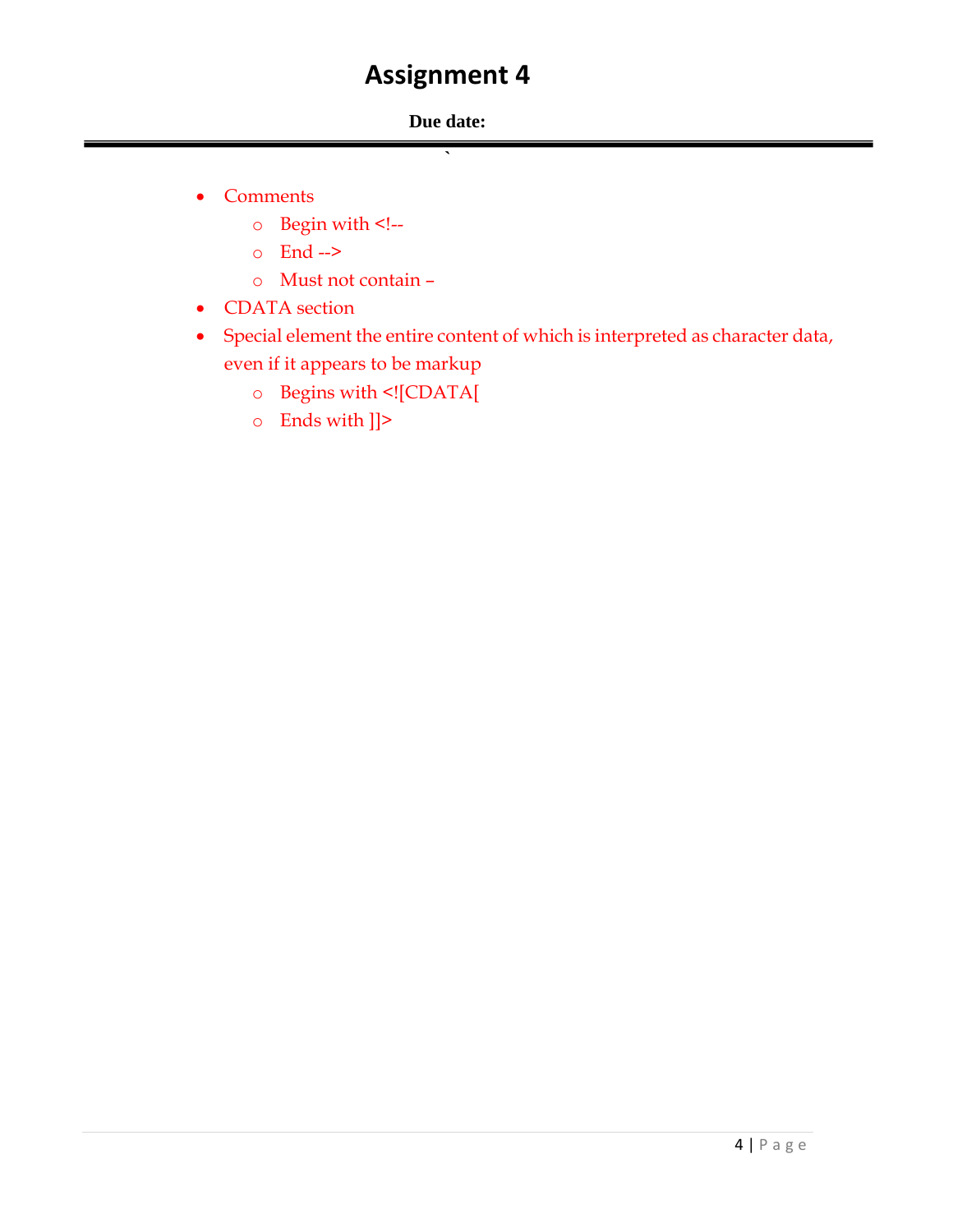### **Due date: `**

- Comments
	- o Begin with <!--
	- o End -->
	- o Must not contain –
- CDATA section
- Special element the entire content of which is interpreted as character data, even if it appears to be markup
	- o Begins with <![CDATA[
	- o Ends with ]]>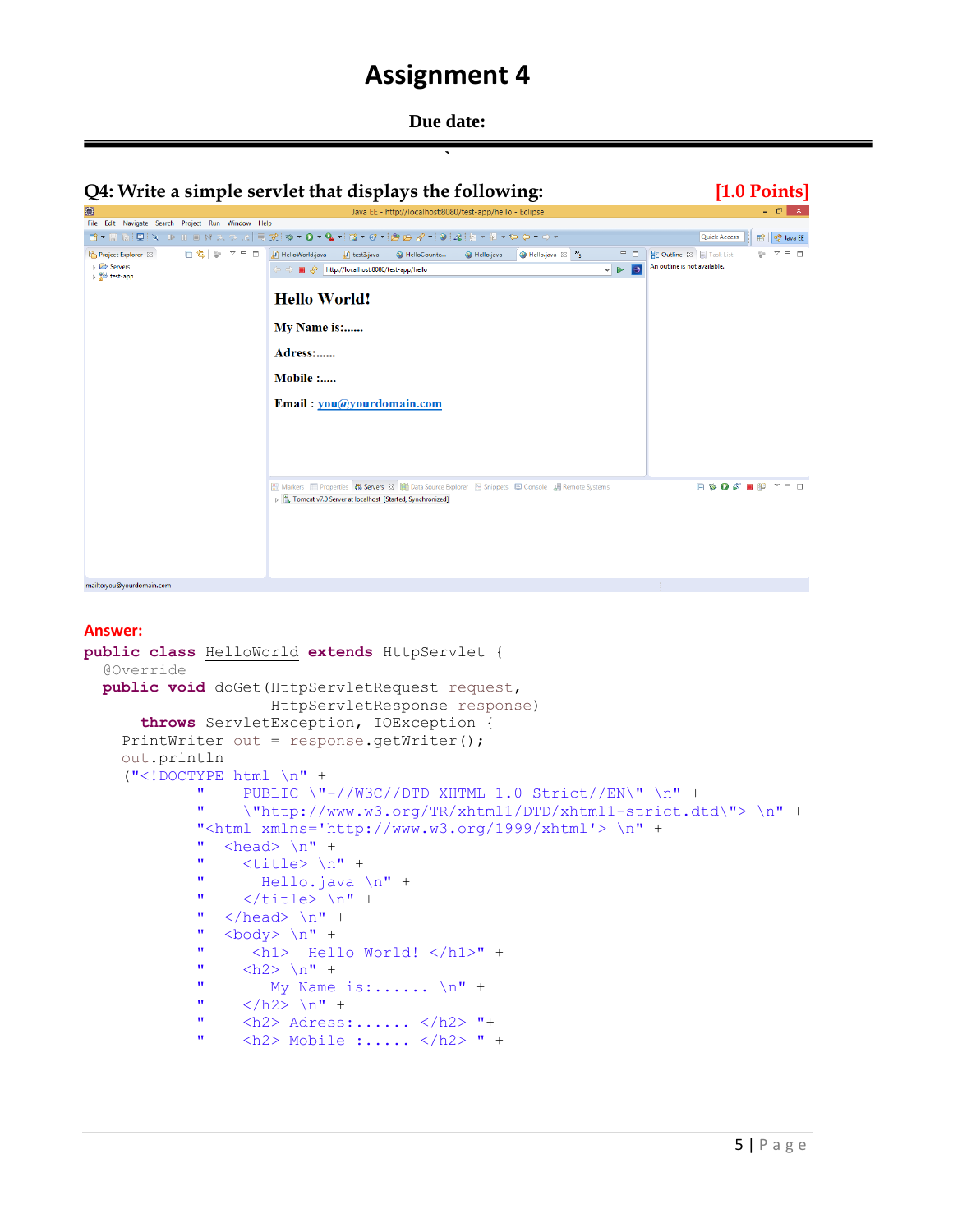**Due date:** 



#### **Answer:**

```
public class HelloWorld extends HttpServlet {
   @Override
   public void doGet(HttpServletRequest request,
                           HttpServletResponse response)
         throws ServletException, IOException {
      PrintWriter out = response.getWriter();
      out.println
      ("<!DOCTYPE html \n" +
                 " PUBLIC \"-//W3C//DTD XHTML 1.0 Strict//EN\" \n" +
                 " \"http://www.w3.org/TR/xhtml1/DTD/xhtml1-strict.dtd\"> \n" +
                "<html xmlns='http://www.w3.org/1999/xhtml'> \n" +
                " <head> \n\cdot" +
                " \langle \text{title} \rangle \langle n" +Hello.java \n" +
                " \langle/title> \n" +
                " \langle/head> \n" +<br>" \langlehody> \n" +
                " \left\langle \text{body} \right\rangle \ln" +<br>"\left\langle \text{hold} \right\rangle "
                         " <h1> Hello World! </h1>" +
                " \langle h2 \rangle \langle n" +
                " My Name is:...... \ln" +
                " \langle /h2 \rangle \ln" +" \langle h2 \rangle Adress:...... \langle h2 \rangle "+
                " \langle h2 \rangle Mobile :..... \langle h2 \rangle " +
```